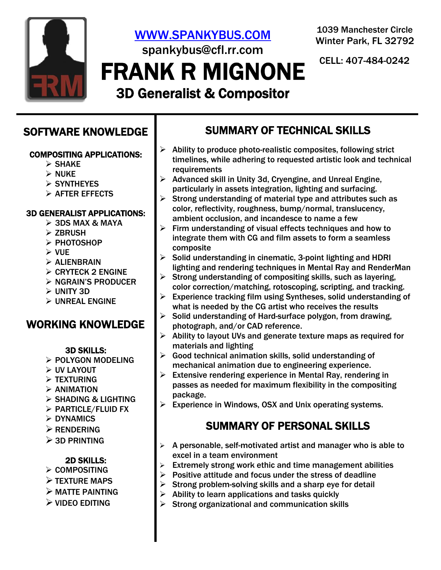

# [WWW.SPANKYBUS.COM](http://www.spankybus.com/) spankybus@cfl.rr.com

FRANK R MIGNONE CELL: 407-484-0242

1039 Manchester Circle Winter Park, FL 32792

# 3D Generalist & Compositor

### SOFTWARE KNOWLEDGE

### COMPOSITING APPLICATIONS:

- ➢ SHAKE
- ➢ NUKE
- ➢ SYNTHEYES
- ➢ AFTER EFFECTS
- 
- 3D GENERALIST APPLICATIONS:
	- $>$  3DS MAX & MAYA
	- ➢ ZBRUSH
	- ➢ PHOTOSHOP
	- ➢ VUE
	- ➢ ALIENBRAIN
	- $\triangleright$  CRYTECK 2 ENGINE
	- ➢ NGRAIN'S PRODUCER
	- ➢ UNITY 3D
	- ➢ UNREAL ENGINE

### WORKING KNOWLEDGE

### 3D SKILLS:

- ➢ POLYGON MODELING
- ➢ UV LAYOUT
- ➢ TEXTURING
- $\triangleright$  ANIMATION
- ➢ SHADING & LIGHTING
- ➢ PARTICLE/FLUID FX
- ➢ DYNAMICS
- ➢ RENDERING
- $\geq$  3D PRINTING

### 2D SKILLS:

- ➢ COMPOSITING
- ➢ TEXTURE MAPS
- ➢ MATTE PAINTING
- ➢ VIDEO EDITING

# SUMMARY OF TECHNICAL SKILLS

- $\triangleright$  Ability to produce photo-realistic composites, following strict timelines, while adhering to requested artistic look and technical requirements
- ➢ Advanced skill in Unity 3d, Cryengine, and Unreal Engine, particularly in assets integration, lighting and surfacing.
- $\triangleright$  Strong understanding of material type and attributes such as color, reflectivity, roughness, bump/normal, translucency, ambient occlusion, and incandesce to name a few
- ➢ Firm understanding of visual effects techniques and how to integrate them with CG and film assets to form a seamless composite
- ➢ Solid understanding in cinematic, 3-point lighting and HDRI lighting and rendering techniques in Mental Ray and RenderMan
- ➢ Strong understanding of compositing skills, such as layering, color correction/matching, rotoscoping, scripting, and tracking.
- ➢ Experience tracking film using Syntheses, solid understanding of what is needed by the CG artist who receives the results
- ➢ Solid understanding of Hard-surface polygon, from drawing, photograph, and/or CAD reference.
- ➢ Ability to layout UVs and generate texture maps as required for materials and lighting
- $\triangleright$  Good technical animation skills, solid understanding of mechanical animation due to engineering experience.
- $\triangleright$  Extensive rendering experience in Mental Ray, rendering in passes as needed for maximum flexibility in the compositing package.
- ➢ Experience in Windows, OSX and Unix operating systems.

# SUMMARY OF PERSONAL SKILLS

- $\triangleright$  A personable, self-motivated artist and manager who is able to excel in a team environment
- $\triangleright$  Extremely strong work ethic and time management abilities
- $\triangleright$  Positive attitude and focus under the stress of deadline
- $\triangleright$  Strong problem-solving skills and a sharp eye for detail
- $\triangleright$  Ability to learn applications and tasks quickly
- $\triangleright$  Strong organizational and communication skills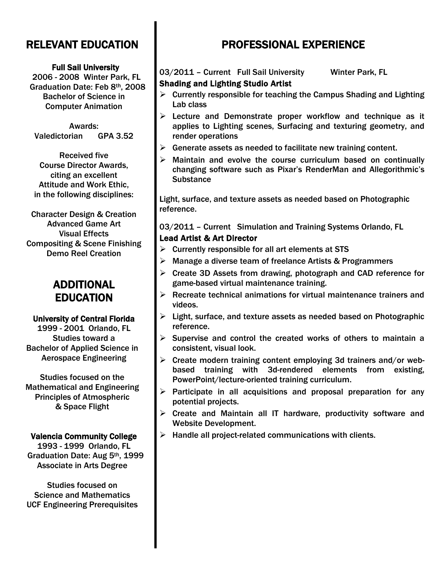# RELEVANT EDUCATION

#### Full Sail University

2006 - 2008 Winter Park, FL Graduation Date: Feb 8th, 2008 Bachelor of Science in Computer Animation

Awards: Valedictorian GPA 3.52

Received five Course Director Awards, citing an excellent Attitude and Work Ethic, in the following disciplines:

Character Design & Creation Advanced Game Art Visual Effects Compositing & Scene Finishing Demo Reel Creation

### ADDITIONAL EDUCATION

### University of Central Florida

1999 - 2001 Orlando, FL Studies toward a Bachelor of Applied Science in Aerospace Engineering

Studies focused on the Mathematical and Engineering Principles of Atmospheric & Space Flight

### Valencia Community College

1993 - 1999 Orlando, FL Graduation Date: Aug 5th, 1999 Associate in Arts Degree

Studies focused on Science and Mathematics UCF Engineering Prerequisites

# PROFESSIONAL EXPERIENCE

### 03/2011 - Current Full Sail University Winter Park, FL

### Shading and Lighting Studio Artist

- $\triangleright$  Currently responsible for teaching the Campus Shading and Lighting Lab class
- $\triangleright$  Lecture and Demonstrate proper workflow and technique as it applies to Lighting scenes, Surfacing and texturing geometry, and render operations
- $\triangleright$  Generate assets as needed to facilitate new training content.
- $\triangleright$  Maintain and evolve the course curriculum based on continually changing software such as Pixar's RenderMan and Allegorithmic's **Substance**

Light, surface, and texture assets as needed based on Photographic reference.

03/2011 – Current Simulation and Training Systems Orlando, FL Lead Artist & Art Director

- $\triangleright$  Currently responsible for all art elements at STS
- ➢ Manage a diverse team of freelance Artists & Programmers
- ➢ Create 3D Assets from drawing, photograph and CAD reference for game-based virtual maintenance training.
- $\triangleright$  Recreate technical animations for virtual maintenance trainers and videos.
- ➢ Light, surface, and texture assets as needed based on Photographic reference.
- $\triangleright$  Supervise and control the created works of others to maintain a consistent, visual look.
- ➢ Create modern training content employing 3d trainers and/or webbased training with 3d-rendered elements from existing, PowerPoint/lecture-oriented training curriculum.
- $\triangleright$  Participate in all acquisitions and proposal preparation for any potential projects.
- ➢ Create and Maintain all IT hardware, productivity software and Website Development.
- $\triangleright$  Handle all project-related communications with clients.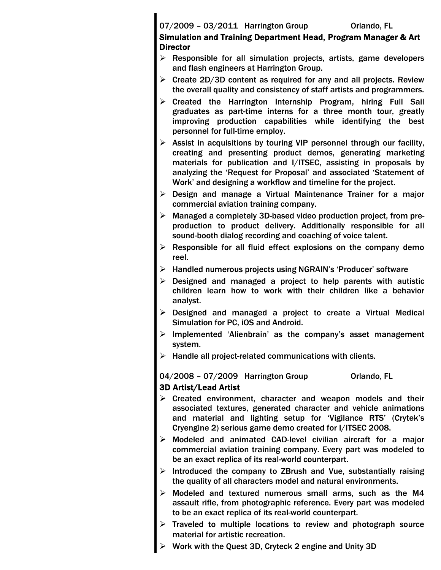### 07/2009 - 03/2011 Harrington Group **Orlando, FL**

### Simulation and Training Department Head, Program Manager & Art **Director**

- $\triangleright$  Responsible for all simulation projects, artists, game developers and flash engineers at Harrington Group.
- $\triangleright$  Create 2D/3D content as required for any and all projects. Review the overall quality and consistency of staff artists and programmers.
- $\triangleright$  Created the Harrington Internship Program, hiring Full Sail graduates as part-time interns for a three month tour, greatly improving production capabilities while identifying the best personnel for full-time employ.
- $\triangleright$  Assist in acquisitions by touring VIP personnel through our facility, creating and presenting product demos, generating marketing materials for publication and I/ITSEC, assisting in proposals by analyzing the 'Request for Proposal' and associated 'Statement of Work' and designing a workflow and timeline for the project.
- ➢ Design and manage a Virtual Maintenance Trainer for a major commercial aviation training company.
- ➢ Managed a completely 3D-based video production project, from preproduction to product delivery. Additionally responsible for all sound-booth dialog recording and coaching of voice talent.
- $\triangleright$  Responsible for all fluid effect explosions on the company demo reel.
- ➢ Handled numerous projects using NGRAIN's 'Producer' software
- $\triangleright$  Designed and managed a project to help parents with autistic children learn how to work with their children like a behavior analyst.
- ➢ Designed and managed a project to create a Virtual Medical Simulation for PC, iOS and Android.
- ➢ Implemented 'Alienbrain' as the company's asset management system.
- $\triangleright$  Handle all project-related communications with clients.

04/2008 - 07/2009 Harrington Group **Orlando, FL** 

### 3D Artist/Lead Artist

- $\triangleright$  Created environment, character and weapon models and their associated textures, generated character and vehicle animations and material and lighting setup for 'Vigilance RTS' (Crytek's Cryengine 2) serious game demo created for I/ITSEC 2008.
- ➢ Modeled and animated CAD-level civilian aircraft for a major commercial aviation training company. Every part was modeled to be an exact replica of its real-world counterpart.
- $\triangleright$  Introduced the company to ZBrush and Vue, substantially raising the quality of all characters model and natural environments.
- ➢ Modeled and textured numerous small arms, such as the M4 assault rifle, from photographic reference. Every part was modeled to be an exact replica of its real-world counterpart.
- ➢ Traveled to multiple locations to review and photograph source material for artistic recreation.
- ➢ Work with the Quest 3D, Cryteck 2 engine and Unity 3D